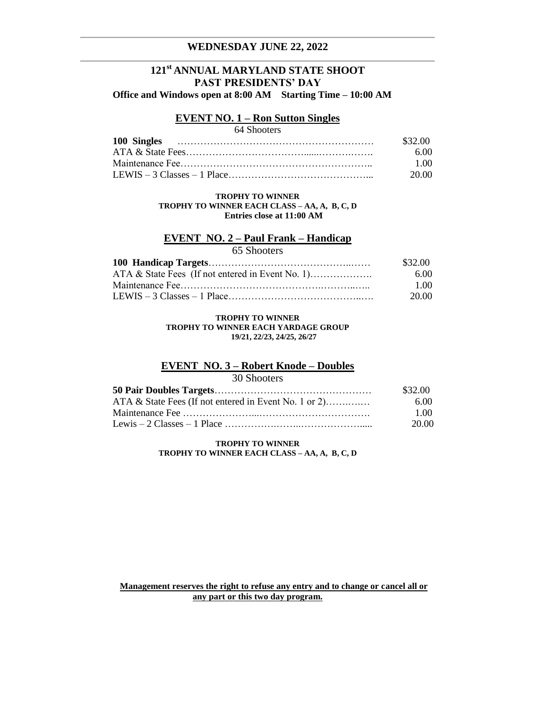## **WEDNESDAY JUNE 22, 2022**

# **121st ANNUAL MARYLAND STATE SHOOT PAST PRESIDENTS' DAY Office and Windows open at 8:00 AM Starting Time – 10:00 AM**

### **EVENT NO. 1 – Ron Sutton Singles**

# 64 Shooters

| \$32.00 |
|---------|
| -6.00   |
| - 1.00  |
| -20.00  |

#### **TROPHY TO WINNER TROPHY TO WINNER EACH CLASS – AA, A, B, C, D Entries close at 11:00 AM**

### **EVENT NO. 2 – Paul Frank – Handicap**

65 Shooters

| \$32.00 |
|---------|
| 6.00    |
| 1.00    |
| 20.00   |

#### **TROPHY TO WINNER TROPHY TO WINNER EACH YARDAGE GROUP 19/21, 22/23, 24/25, 26/27**

# **EVENT NO. 3 – Robert Knode – Doubles**

 $20.01$ 

| \$32.00 |
|---------|
| 6.00    |
| 1.00    |
| 20.00   |
|         |

#### **TROPHY TO WINNER TROPHY TO WINNER EACH CLASS – AA, A, B, C, D**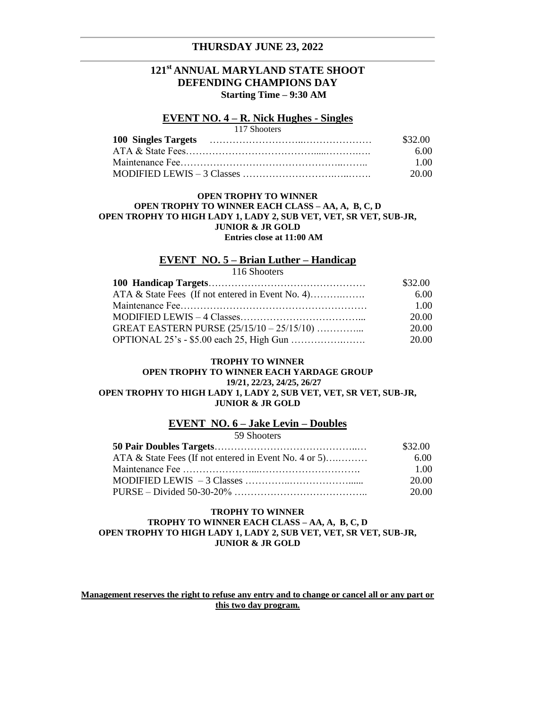## **THURSDAY JUNE 23, 2022**

# **121st ANNUAL MARYLAND STATE SHOOT DEFENDING CHAMPIONS DAY Starting Time – 9:30 AM**

### **EVENT NO. 4 – R. Nick Hughes - Singles**

| 117 Shooters |         |
|--------------|---------|
|              | \$32.00 |
|              | 6.00    |
|              | 1 OO    |
|              | -20.00  |

#### **OPEN TROPHY TO WINNER OPEN TROPHY TO WINNER EACH CLASS – AA, A, B, C, D OPEN TROPHY TO HIGH LADY 1, LADY 2, SUB VET, VET, SR VET, SUB-JR, JUNIOR & JR GOLD Entries close at 11:00 AM**

### **EVENT NO. 5 – Brian Luther – Handicap**

116 Shooters

|                                                  | \$32.00 |
|--------------------------------------------------|---------|
| ATA & State Fees (If not entered in Event No. 4) | 6.00    |
|                                                  | 1.00    |
|                                                  | 20.00   |
| GREAT EASTERN PURSE $(25/15/10 - 25/15/10)$      | 20.00   |
|                                                  | 20.00   |

#### **TROPHY TO WINNER OPEN TROPHY TO WINNER EACH YARDAGE GROUP 19/21, 22/23, 24/25, 26/27 OPEN TROPHY TO HIGH LADY 1, LADY 2, SUB VET, VET, SR VET, SUB-JR, JUNIOR & JR GOLD**

#### **EVENT NO. 6 – Jake Levin – Doubles**

59 Shooters

|                                                       | \$32.00 |
|-------------------------------------------------------|---------|
| ATA & State Fees (If not entered in Event No. 4 or 5) | 6.00    |
|                                                       | 1.00    |
|                                                       | 20.00   |
|                                                       | 20.00   |

## **TROPHY TO WINNER**

#### **TROPHY TO WINNER EACH CLASS – AA, A, B, C, D OPEN TROPHY TO HIGH LADY 1, LADY 2, SUB VET, VET, SR VET, SUB-JR, JUNIOR & JR GOLD**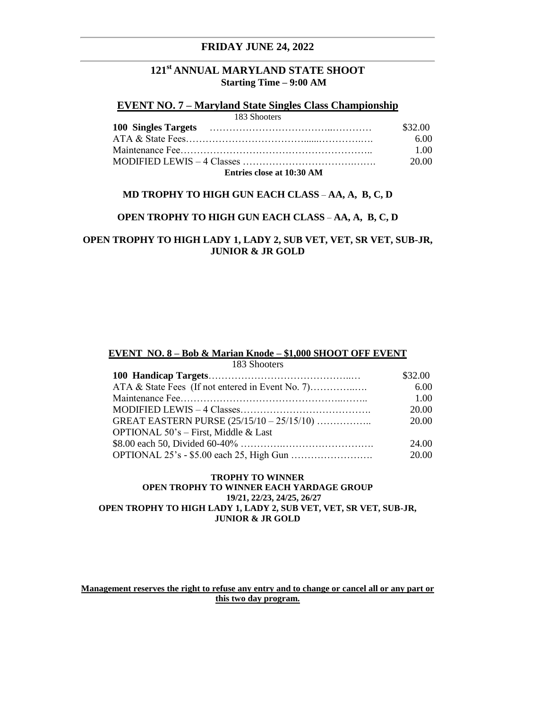# **FRIDAY JUNE 24, 2022**

# **121st ANNUAL MARYLAND STATE SHOOT Starting Time – 9:00 AM**

# **EVENT NO. 7 – Maryland State Singles Class Championship**

| 183 Shooters              |         |
|---------------------------|---------|
|                           | \$32.00 |
|                           | 6.00    |
|                           | 1.00    |
|                           | 20.00   |
| Entries close at 10:30 AM |         |

### **MD TROPHY TO HIGH GUN EACH CLASS** – **AA, A, B, C, D**

### **OPEN TROPHY TO HIGH GUN EACH CLASS** – **AA, A, B, C, D**

## **OPEN TROPHY TO HIGH LADY 1, LADY 2, SUB VET, VET, SR VET, SUB-JR, JUNIOR & JR GOLD**

#### **EVENT NO. 8 – Bob & Marian Knode – \$1,000 SHOOT OFF EVENT**

| 183 Shooters                         |         |
|--------------------------------------|---------|
|                                      | \$32.00 |
|                                      | 6.00    |
|                                      | 1.00    |
|                                      | 20.00   |
|                                      | 20.00   |
| OPTIONAL 50's – First, Middle & Last |         |
|                                      | 24.00   |
|                                      | 20.00   |

#### **TROPHY TO WINNER OPEN TROPHY TO WINNER EACH YARDAGE GROUP 19/21, 22/23, 24/25, 26/27 OPEN TROPHY TO HIGH LADY 1, LADY 2, SUB VET, VET, SR VET, SUB-JR, JUNIOR & JR GOLD**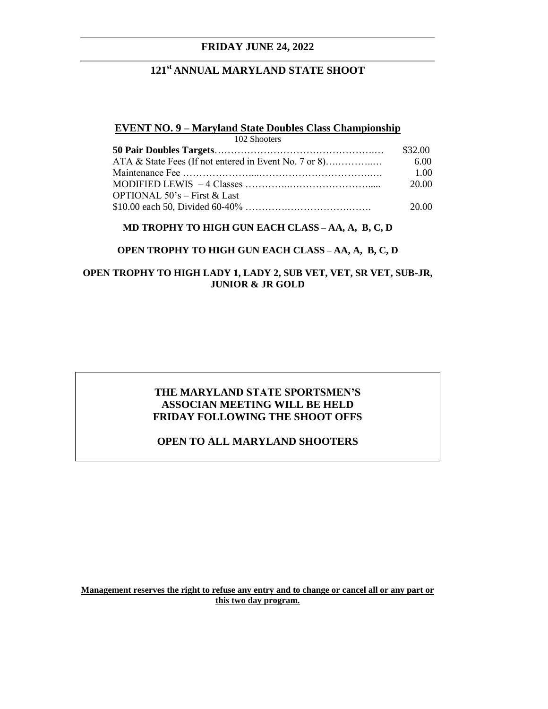# **FRIDAY JUNE 24, 2022**

# **121st ANNUAL MARYLAND STATE SHOOT**

## **EVENT NO. 9 – Maryland State Doubles Class Championship**

| 102 Shooters                    |         |
|---------------------------------|---------|
|                                 | \$32.00 |
|                                 | 6.00    |
|                                 | 1.00    |
|                                 | 20.00   |
| OPTIONAL $50$ 's – First & Last |         |
|                                 | 20.00   |

### **MD TROPHY TO HIGH GUN EACH CLASS** – **AA, A, B, C, D**

### **OPEN TROPHY TO HIGH GUN EACH CLASS** – **AA, A, B, C, D**

# **OPEN TROPHY TO HIGH LADY 1, LADY 2, SUB VET, VET, SR VET, SUB-JR, JUNIOR & JR GOLD**

# **THE MARYLAND STATE SPORTSMEN'S ASSOCIAN MEETING WILL BE HELD FRIDAY FOLLOWING THE SHOOT OFFS**

# **OPEN TO ALL MARYLAND SHOOTERS**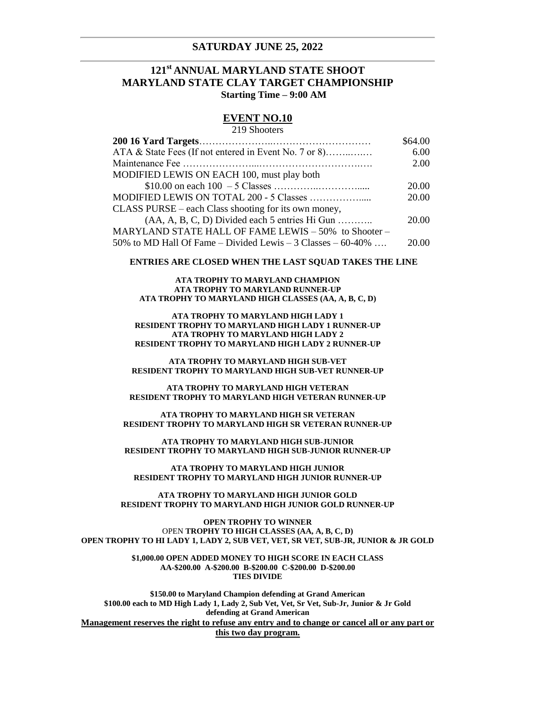#### **SATURDAY JUNE 25, 2022**

# **121st ANNUAL MARYLAND STATE SHOOT MARYLAND STATE CLAY TARGET CHAMPIONSHIP Starting Time – 9:00 AM**

# **EVENT NO.10**

## 219 Shooters **200 16 Yard Targets**…………………..………………………… \$64.00 ATA & State Fees (If not entered in Event No. 7 or 8)……..….… 6.00 Maintenance Fee …………………...………………………….…. 2.00 MODIFIED LEWIS ON EACH 100, must play both \$10.00 on each 100 – 5 Classes …………..…………..... 20.00 MODIFIED LEWIS ON TOTAL 200 - 5 Classes ……………..... 20.00 CLASS PURSE – each Class shooting for its own money,  $(AA, A, B, C, D)$  Divided each 5 entries Hi Gun  $\ldots$  20.00 MARYLAND STATE HALL OF FAME LEWIS – 50% to Shooter – 50% to MD Hall Of Fame – Divided Lewis – 3 Classes –  $60-40\%$  .... 20.00

#### **ENTRIES ARE CLOSED WHEN THE LAST SQUAD TAKES THE LINE**

**ATA TROPHY TO MARYLAND CHAMPION ATA TROPHY TO MARYLAND RUNNER-UP ATA TROPHY TO MARYLAND HIGH CLASSES (AA, A, B, C, D)**

**ATA TROPHY TO MARYLAND HIGH LADY 1 RESIDENT TROPHY TO MARYLAND HIGH LADY 1 RUNNER-UP ATA TROPHY TO MARYLAND HIGH LADY 2 RESIDENT TROPHY TO MARYLAND HIGH LADY 2 RUNNER-UP**

**ATA TROPHY TO MARYLAND HIGH SUB-VET RESIDENT TROPHY TO MARYLAND HIGH SUB-VET RUNNER-UP**

**ATA TROPHY TO MARYLAND HIGH VETERAN RESIDENT TROPHY TO MARYLAND HIGH VETERAN RUNNER-UP**

**ATA TROPHY TO MARYLAND HIGH SR VETERAN RESIDENT TROPHY TO MARYLAND HIGH SR VETERAN RUNNER-UP**

**ATA TROPHY TO MARYLAND HIGH SUB-JUNIOR RESIDENT TROPHY TO MARYLAND HIGH SUB-JUNIOR RUNNER-UP**

**ATA TROPHY TO MARYLAND HIGH JUNIOR RESIDENT TROPHY TO MARYLAND HIGH JUNIOR RUNNER-UP**

**ATA TROPHY TO MARYLAND HIGH JUNIOR GOLD RESIDENT TROPHY TO MARYLAND HIGH JUNIOR GOLD RUNNER-UP**

**OPEN TROPHY TO WINNER** OPEN **TROPHY TO HIGH CLASSES (AA, A, B, C, D) OPEN TROPHY TO HI LADY 1, LADY 2, SUB VET, VET, SR VET, SUB-JR, JUNIOR & JR GOLD**

> **\$1,000.00 OPEN ADDED MONEY TO HIGH SCORE IN EACH CLASS AA-\$200.00 A-\$200.00 B-\$200.00 C-\$200.00 D-\$200.00 TIES DIVIDE**

**\$150.00 to Maryland Champion defending at Grand American \$100.00 each to MD High Lady 1, Lady 2, Sub Vet, Vet, Sr Vet, Sub-Jr, Junior & Jr Gold defending at Grand American Management reserves the right to refuse any entry and to change or cancel all or any part or this two day program.**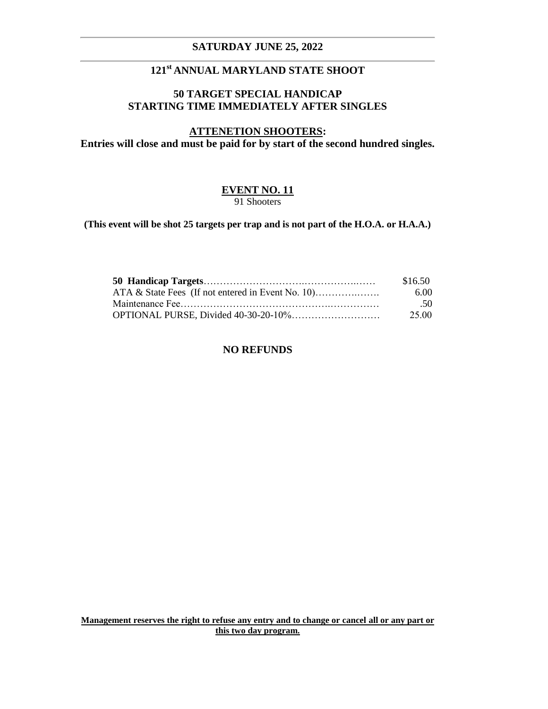# **SATURDAY JUNE 25, 2022**

# **121st ANNUAL MARYLAND STATE SHOOT**

# **50 TARGET SPECIAL HANDICAP STARTING TIME IMMEDIATELY AFTER SINGLES**

# **ATTENETION SHOOTERS:**

**Entries will close and must be paid for by start of the second hundred singles.**

# **EVENT NO. 11** 91 Shooters

**(This event will be shot 25 targets per trap and is not part of the H.O.A. or H.A.A.)**

| \$16.50          |
|------------------|
| 6.00             |
| .50 <sub>1</sub> |
| 25.00            |

# **NO REFUNDS**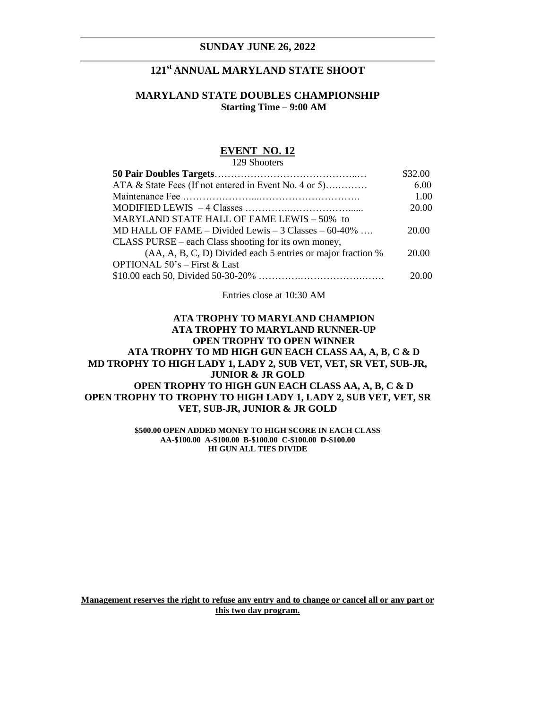### **SUNDAY JUNE 26, 2022**

# **121st ANNUAL MARYLAND STATE SHOOT**

# **MARYLAND STATE DOUBLES CHAMPIONSHIP Starting Time – 9:00 AM**

### **EVENT NO. 12**

129 Shooters

|                                                                   | \$32.00 |
|-------------------------------------------------------------------|---------|
| ATA & State Fees (If not entered in Event No. 4 or 5)             | 6.00    |
|                                                                   | 1.00    |
|                                                                   | 20.00   |
| MARYLAND STATE HALL OF FAME LEWIS - 50% to                        |         |
| MD HALL OF FAME – Divided Lewis – $3 \text{ Classes} - 60 - 40\%$ | 20.00   |
| CLASS PURSE – each Class shooting for its own money,              |         |
| (AA, A, B, C, D) Divided each 5 entries or major fraction %       | 20.00   |
| OPTIONAL $50^{\circ}$ s – First & Last                            |         |
|                                                                   | 20.00   |
|                                                                   |         |

Entries close at 10:30 AM

# **ATA TROPHY TO MARYLAND CHAMPION ATA TROPHY TO MARYLAND RUNNER-UP OPEN TROPHY TO OPEN WINNER ATA TROPHY TO MD HIGH GUN EACH CLASS AA, A, B, C & D MD TROPHY TO HIGH LADY 1, LADY 2, SUB VET, VET, SR VET, SUB-JR, JUNIOR & JR GOLD OPEN TROPHY TO HIGH GUN EACH CLASS AA, A, B, C & D OPEN TROPHY TO TROPHY TO HIGH LADY 1, LADY 2, SUB VET, VET, SR VET, SUB-JR, JUNIOR & JR GOLD**

**\$500.00 OPEN ADDED MONEY TO HIGH SCORE IN EACH CLASS AA-\$100.00 A-\$100.00 B-\$100.00 C-\$100.00 D-\$100.00 HI GUN ALL TIES DIVIDE**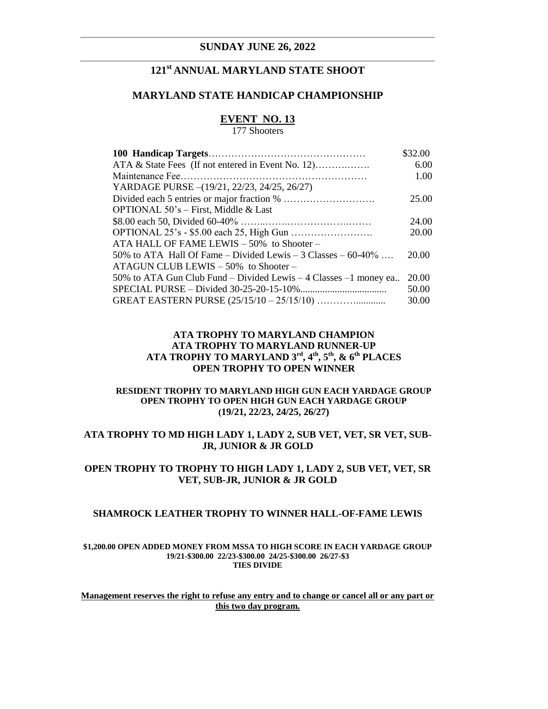### **SUNDAY JUNE 26, 2022**

# **121st ANNUAL MARYLAND STATE SHOOT**

# **MARYLAND STATE HANDICAP CHAMPIONSHIP**

# **EVENT NO. 13**

177 Shooters

|                                                                  | \$32.00 |
|------------------------------------------------------------------|---------|
| ATA & State Fees (If not entered in Event No. 12)                | 6.00    |
|                                                                  | 1.00    |
| YARDAGE PURSE -(19/21, 22/23, 24/25, 26/27)                      |         |
|                                                                  | 25.00   |
| OPTIONAL $50$ 's – First, Middle & Last                          |         |
|                                                                  | 24.00   |
|                                                                  | 20.00   |
| ATA HALL OF FAME LEWIS - 50% to Shooter -                        |         |
| 50% to ATA Hall Of Fame – Divided Lewis – 3 Classes – $60-40\%$  | 20.00   |
| $ATAGUN CLUB LEWIS - 50\%$ to Shooter -                          |         |
| 50% to ATA Gun Club Fund – Divided Lewis – 4 Classes –1 money ea | 20.00   |
|                                                                  | 50.00   |
|                                                                  | 30.00   |

## **ATA TROPHY TO MARYLAND CHAMPION ATA TROPHY TO MARYLAND RUNNER-UP ATA TROPHY TO MARYLAND 3rd, 4th, 5th, & 6th PLACES OPEN TROPHY TO OPEN WINNER**

### **RESIDENT TROPHY TO MARYLAND HIGH GUN EACH YARDAGE GROUP OPEN TROPHY TO OPEN HIGH GUN EACH YARDAGE GROUP (19/21, 22/23, 24/25, 26/27)**

## **ATA TROPHY TO MD HIGH LADY 1, LADY 2, SUB VET, VET, SR VET, SUB-JR, JUNIOR & JR GOLD**

# **OPEN TROPHY TO TROPHY TO HIGH LADY 1, LADY 2, SUB VET, VET, SR VET, SUB-JR, JUNIOR & JR GOLD**

#### **SHAMROCK LEATHER TROPHY TO WINNER HALL-OF-FAME LEWIS**

#### **\$1,200.00 OPEN ADDED MONEY FROM MSSA TO HIGH SCORE IN EACH YARDAGE GROUP 19/21-\$300.00 22/23-\$300.00 24/25-\$300.00 26/27-\$3 TIES DIVIDE**